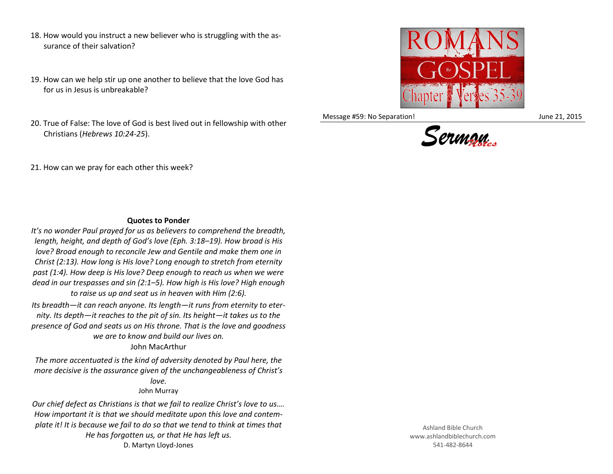- 18. How would you instruct a new believer who is struggling with the assurance of their salvation?
- 19. How can we help stir up one another to believe that the love God has for us in Jesus is unbreakable?
- 20. True of False: The love of God is best lived out in fellowship with other Christians (*Hebrews 10:24-25*).



Message #59: No Separation! June 21, 2015



21. How can we pray for each other this week?

## **Quotes to Ponder**

*It's no wonder Paul prayed for us as believers to comprehend the breadth, length, height, and depth of God's love (Eph. 3:18–19). How broad is His love? Broad enough to reconcile Jew and Gentile and make them one in Christ (2:13). How long is His love? Long enough to stretch from eternity past (1:4). How deep is His love? Deep enough to reach us when we were dead in our trespasses and sin (2:1–5). How high is His love? High enough to raise us up and seat us in heaven with Him (2:6).*

*Its breadth—it can reach anyone. Its length—it runs from eternity to eternity. Its depth—it reaches to the pit of sin. Its height—it takes us to the presence of God and seats us on His throne. That is the love and goodness we are to know and build our lives on.* John MacArthur

*The more accentuated is the kind of adversity denoted by Paul here, the* 

*more decisive is the assurance given of the unchangeableness of Christ's love.*

## John Murray

*Our chief defect as Christians is that we fail to realize Christ's love to us…. How important it is that we should meditate upon this love and contemplate it! It is because we fail to do so that we tend to think at times that He has forgotten us, or that He has left us.* D. Martyn Lloyd-Jones

Ashland Bible Church www.ashlandbiblechurch.com 541-482-8644